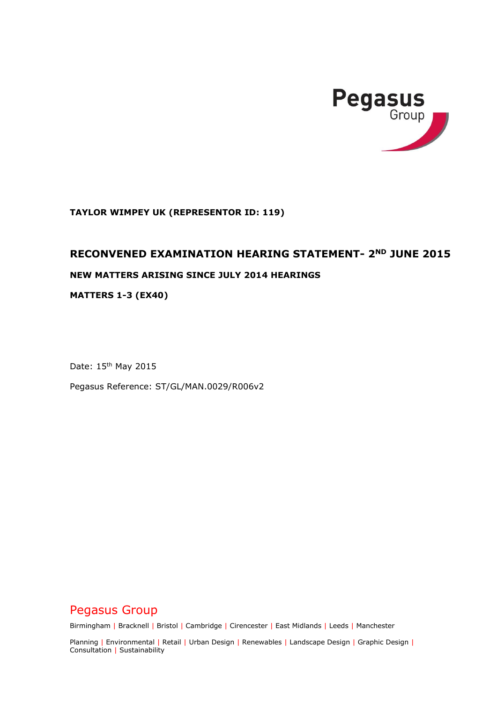

**TAYLOR WIMPEY UK (REPRESENTOR ID: 119)**

## **RECONVENED EXAMINATION HEARING STATEMENT- 2ND JUNE 2015**

## **NEW MATTERS ARISING SINCE JULY 2014 HEARINGS**

**MATTERS 1-3 (EX40)**

Date: 15<sup>th</sup> May 2015

Pegasus Reference: ST/GL/MAN.0029/R006v2

# Pegasus Group

Birmingham | Bracknell | Bristol | Cambridge | Cirencester | East Midlands | Leeds | Manchester

Planning | Environmental | Retail | Urban Design | Renewables | Landscape Design | Graphic Design | Consultation | Sustainability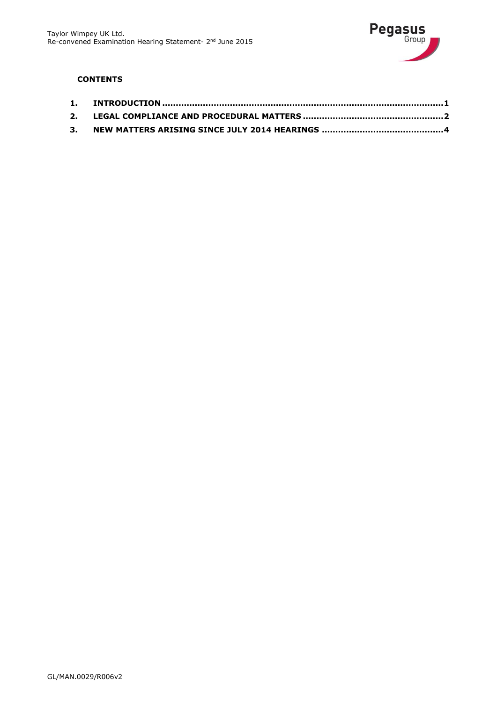

## **CONTENTS**

| 3. |  |
|----|--|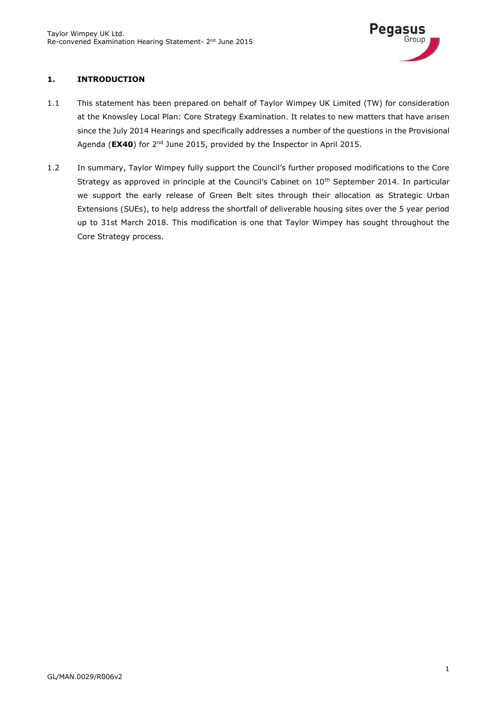

## <span id="page-2-0"></span>**1. INTRODUCTION**

- 1.1 This statement has been prepared on behalf of Taylor Wimpey UK Limited (TW) for consideration at the Knowsley Local Plan: Core Strategy Examination. It relates to new matters that have arisen since the July 2014 Hearings and specifically addresses a number of the questions in the Provisional Agenda (**EX40**) for 2<sup>nd</sup> June 2015, provided by the Inspector in April 2015.
- 1.2 In summary, Taylor Wimpey fully support the Council's further proposed modifications to the Core Strategy as approved in principle at the Council's Cabinet on 10<sup>th</sup> September 2014. In particular we support the early release of Green Belt sites through their allocation as Strategic Urban Extensions (SUEs), to help address the shortfall of deliverable housing sites over the 5 year period up to 31st March 2018. This modification is one that Taylor Wimpey has sought throughout the Core Strategy process.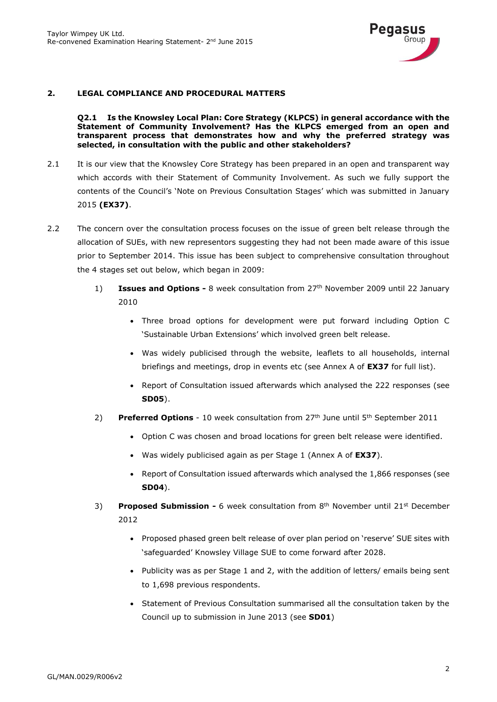

#### <span id="page-3-0"></span>**2. LEGAL COMPLIANCE AND PROCEDURAL MATTERS**

#### **Q2.1 Is the Knowsley Local Plan: Core Strategy (KLPCS) in general accordance with the Statement of Community Involvement? Has the KLPCS emerged from an open and transparent process that demonstrates how and why the preferred strategy was selected, in consultation with the public and other stakeholders?**

- 2.1 It is our view that the Knowsley Core Strategy has been prepared in an open and transparent way which accords with their Statement of Community Involvement. As such we fully support the contents of the Council's 'Note on Previous Consultation Stages' which was submitted in January 2015 **(EX37)**.
- 2.2 The concern over the consultation process focuses on the issue of green belt release through the allocation of SUEs, with new representors suggesting they had not been made aware of this issue prior to September 2014. This issue has been subject to comprehensive consultation throughout the 4 stages set out below, which began in 2009:
	- 1) **Issues and Options -** 8 week consultation from 27th November 2009 until 22 January 2010
		- Three broad options for development were put forward including Option C 'Sustainable Urban Extensions' which involved green belt release.
		- Was widely publicised through the website, leaflets to all households, internal briefings and meetings, drop in events etc (see Annex A of **EX37** for full list).
		- Report of Consultation issued afterwards which analysed the 222 responses (see **SD05**).
	- 2) **Preferred Options** 10 week consultation from 27th June until 5th September 2011
		- Option C was chosen and broad locations for green belt release were identified.
		- Was widely publicised again as per Stage 1 (Annex A of **EX37**).
		- Report of Consultation issued afterwards which analysed the 1,866 responses (see **SD04**).
	- 3) **Proposed Submission -** 6 week consultation from 8th November until 21st December 2012
		- Proposed phased green belt release of over plan period on 'reserve' SUE sites with 'safeguarded' Knowsley Village SUE to come forward after 2028.
		- Publicity was as per Stage 1 and 2, with the addition of letters/ emails being sent to 1,698 previous respondents.
		- Statement of Previous Consultation summarised all the consultation taken by the Council up to submission in June 2013 (see **SD01**)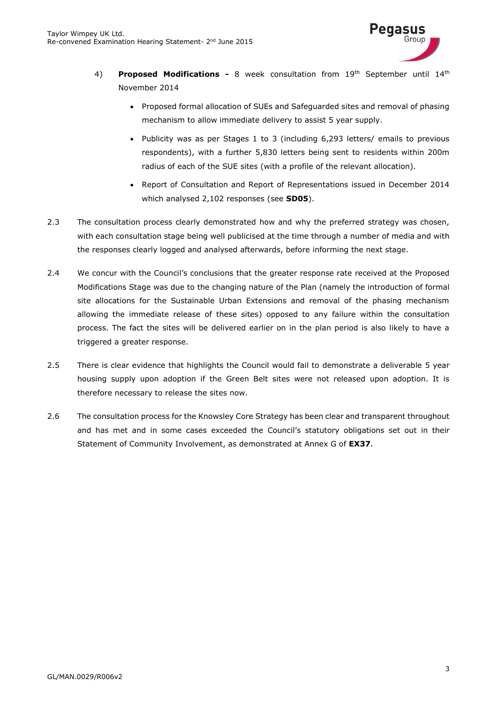

- 4) **Proposed Modifications -** 8 week consultation from 19th September until 14th November 2014
	- Proposed formal allocation of SUEs and Safeguarded sites and removal of phasing mechanism to allow immediate delivery to assist 5 year supply.
	- Publicity was as per Stages 1 to 3 (including 6,293 letters/ emails to previous respondents), with a further 5,830 letters being sent to residents within 200m radius of each of the SUE sites (with a profile of the relevant allocation).
	- Report of Consultation and Report of Representations issued in December 2014 which analysed 2,102 responses (see **SD05**).
- 2.3 The consultation process clearly demonstrated how and why the preferred strategy was chosen, with each consultation stage being well publicised at the time through a number of media and with the responses clearly logged and analysed afterwards, before informing the next stage.
- 2.4 We concur with the Council's conclusions that the greater response rate received at the Proposed Modifications Stage was due to the changing nature of the Plan (namely the introduction of formal site allocations for the Sustainable Urban Extensions and removal of the phasing mechanism allowing the immediate release of these sites) opposed to any failure within the consultation process. The fact the sites will be delivered earlier on in the plan period is also likely to have a triggered a greater response.
- 2.5 There is clear evidence that highlights the Council would fail to demonstrate a deliverable 5 year housing supply upon adoption if the Green Belt sites were not released upon adoption. It is therefore necessary to release the sites now.
- 2.6 The consultation process for the Knowsley Core Strategy has been clear and transparent throughout and has met and in some cases exceeded the Council's statutory obligations set out in their Statement of Community Involvement, as demonstrated at Annex G of **EX37**.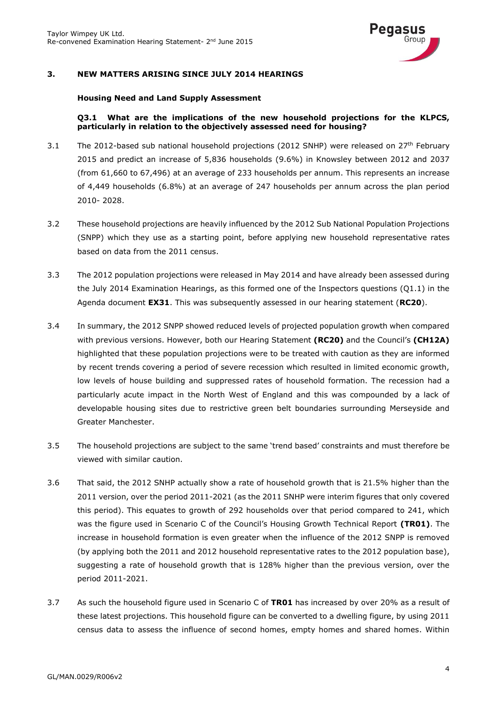

## <span id="page-5-0"></span>**3. NEW MATTERS ARISING SINCE JULY 2014 HEARINGS**

#### **Housing Need and Land Supply Assessment**

#### **Q3.1 What are the implications of the new household projections for the KLPCS, particularly in relation to the objectively assessed need for housing?**

- 3.1 The 2012-based sub national household projections (2012 SNHP) were released on 27<sup>th</sup> February 2015 and predict an increase of 5,836 households (9.6%) in Knowsley between 2012 and 2037 (from 61,660 to 67,496) at an average of 233 households per annum. This represents an increase of 4,449 households (6.8%) at an average of 247 households per annum across the plan period 2010- 2028.
- 3.2 These household projections are heavily influenced by the 2012 Sub National Population Projections (SNPP) which they use as a starting point, before applying new household representative rates based on data from the 2011 census.
- 3.3 The 2012 population projections were released in May 2014 and have already been assessed during the July 2014 Examination Hearings, as this formed one of the Inspectors questions (Q1.1) in the Agenda document **EX31**. This was subsequently assessed in our hearing statement (**RC20**).
- 3.4 In summary, the 2012 SNPP showed reduced levels of projected population growth when compared with previous versions. However, both our Hearing Statement **(RC20)** and the Council's **(CH12A)** highlighted that these population projections were to be treated with caution as they are informed by recent trends covering a period of severe recession which resulted in limited economic growth, low levels of house building and suppressed rates of household formation. The recession had a particularly acute impact in the North West of England and this was compounded by a lack of developable housing sites due to restrictive green belt boundaries surrounding Merseyside and Greater Manchester.
- 3.5 The household projections are subject to the same 'trend based' constraints and must therefore be viewed with similar caution.
- 3.6 That said, the 2012 SNHP actually show a rate of household growth that is 21.5% higher than the 2011 version, over the period 2011-2021 (as the 2011 SNHP were interim figures that only covered this period). This equates to growth of 292 households over that period compared to 241, which was the figure used in Scenario C of the Council's Housing Growth Technical Report **(TR01)**. The increase in household formation is even greater when the influence of the 2012 SNPP is removed (by applying both the 2011 and 2012 household representative rates to the 2012 population base), suggesting a rate of household growth that is 128% higher than the previous version, over the period 2011-2021.
- 3.7 As such the household figure used in Scenario C of **TR01** has increased by over 20% as a result of these latest projections. This household figure can be converted to a dwelling figure, by using 2011 census data to assess the influence of second homes, empty homes and shared homes. Within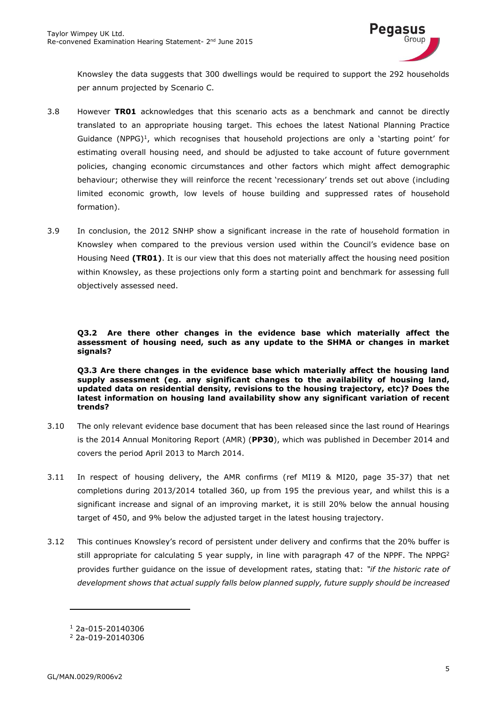

Knowsley the data suggests that 300 dwellings would be required to support the 292 households per annum projected by Scenario C.

- 3.8 However **TR01** acknowledges that this scenario acts as a benchmark and cannot be directly translated to an appropriate housing target. This echoes the latest National Planning Practice Guidance (NPPG)<sup>1</sup>, which recognises that household projections are only a 'starting point' for estimating overall housing need, and should be adjusted to take account of future government policies, changing economic circumstances and other factors which might affect demographic behaviour; otherwise they will reinforce the recent 'recessionary' trends set out above (including limited economic growth, low levels of house building and suppressed rates of household formation).
- 3.9 In conclusion, the 2012 SNHP show a significant increase in the rate of household formation in Knowsley when compared to the previous version used within the Council's evidence base on Housing Need **(TR01)**. It is our view that this does not materially affect the housing need position within Knowsley, as these projections only form a starting point and benchmark for assessing full objectively assessed need.

**Q3.2 Are there other changes in the evidence base which materially affect the assessment of housing need, such as any update to the SHMA or changes in market signals?**

**Q3.3 Are there changes in the evidence base which materially affect the housing land supply assessment (eg. any significant changes to the availability of housing land, updated data on residential density, revisions to the housing trajectory, etc)? Does the latest information on housing land availability show any significant variation of recent trends?**

- 3.10 The only relevant evidence base document that has been released since the last round of Hearings is the 2014 Annual Monitoring Report (AMR) (**PP30**), which was published in December 2014 and covers the period April 2013 to March 2014.
- 3.11 In respect of housing delivery, the AMR confirms (ref MI19 & MI20, page 35-37) that net completions during 2013/2014 totalled 360, up from 195 the previous year, and whilst this is a significant increase and signal of an improving market, it is still 20% below the annual housing target of 450, and 9% below the adjusted target in the latest housing trajectory.
- 3.12 This continues Knowsley's record of persistent under delivery and confirms that the 20% buffer is still appropriate for calculating 5 year supply, in line with paragraph 47 of the NPPF. The NPPG<sup>2</sup> provides further guidance on the issue of development rates, stating that: *"if the historic rate of development shows that actual supply falls below planned supply, future supply should be increased*

<sup>1</sup> 2a-015-20140306

<sup>2</sup> 2a-019-20140306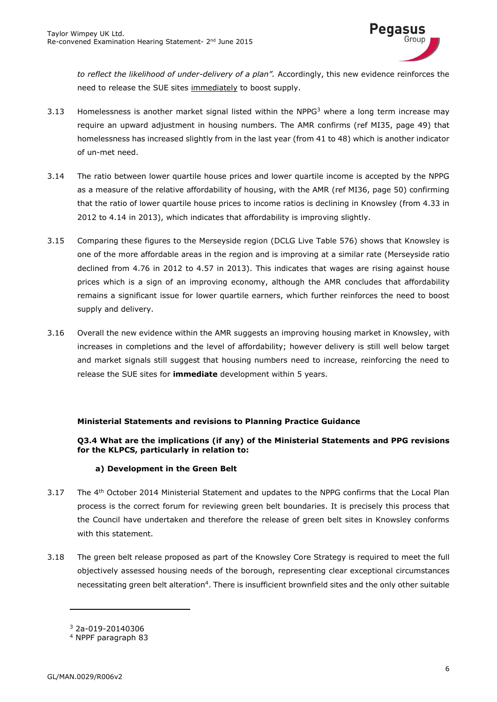

*to reflect the likelihood of under-delivery of a plan".* Accordingly, this new evidence reinforces the need to release the SUE sites immediately to boost supply.

- 3.13 Homelessness is another market signal listed within the NPPG<sup>3</sup> where a long term increase may require an upward adjustment in housing numbers. The AMR confirms (ref MI35, page 49) that homelessness has increased slightly from in the last year (from 41 to 48) which is another indicator of un-met need.
- 3.14 The ratio between lower quartile house prices and lower quartile income is accepted by the NPPG as a measure of the relative affordability of housing, with the AMR (ref MI36, page 50) confirming that the ratio of lower quartile house prices to income ratios is declining in Knowsley (from 4.33 in 2012 to 4.14 in 2013), which indicates that affordability is improving slightly.
- 3.15 Comparing these figures to the Merseyside region (DCLG Live Table 576) shows that Knowsley is one of the more affordable areas in the region and is improving at a similar rate (Merseyside ratio declined from 4.76 in 2012 to 4.57 in 2013). This indicates that wages are rising against house prices which is a sign of an improving economy, although the AMR concludes that affordability remains a significant issue for lower quartile earners, which further reinforces the need to boost supply and delivery.
- 3.16 Overall the new evidence within the AMR suggests an improving housing market in Knowsley, with increases in completions and the level of affordability; however delivery is still well below target and market signals still suggest that housing numbers need to increase, reinforcing the need to release the SUE sites for **immediate** development within 5 years.

## **Ministerial Statements and revisions to Planning Practice Guidance**

## **Q3.4 What are the implications (if any) of the Ministerial Statements and PPG revisions for the KLPCS, particularly in relation to:**

## **a) Development in the Green Belt**

- 3.17 The 4<sup>th</sup> October 2014 Ministerial Statement and updates to the NPPG confirms that the Local Plan process is the correct forum for reviewing green belt boundaries. It is precisely this process that the Council have undertaken and therefore the release of green belt sites in Knowsley conforms with this statement.
- 3.18 The green belt release proposed as part of the Knowsley Core Strategy is required to meet the full objectively assessed housing needs of the borough, representing clear exceptional circumstances necessitating green belt alteration<sup>4</sup>. There is insufficient brownfield sites and the only other suitable

<sup>3</sup> 2a-019-20140306

<sup>4</sup> NPPF paragraph 83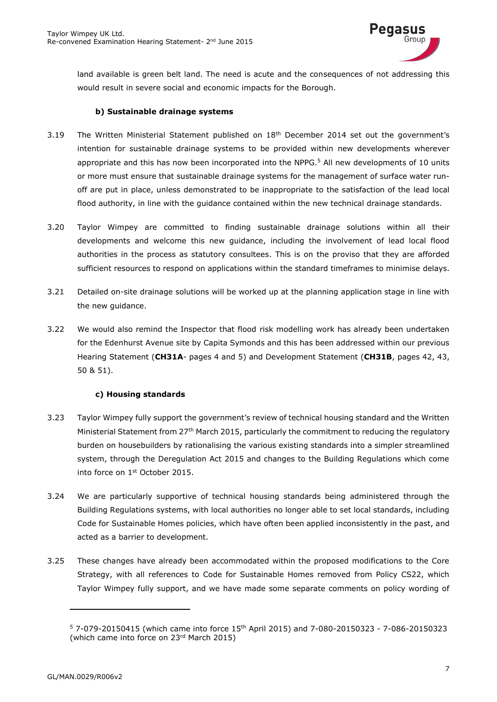

land available is green belt land. The need is acute and the consequences of not addressing this would result in severe social and economic impacts for the Borough.

#### **b) Sustainable drainage systems**

- 3.19 The Written Ministerial Statement published on  $18<sup>th</sup>$  December 2014 set out the government's intention for sustainable drainage systems to be provided within new developments wherever appropriate and this has now been incorporated into the NPPG.<sup>5</sup> All new developments of 10 units or more must ensure that sustainable drainage systems for the management of surface water runoff are put in place, unless demonstrated to be inappropriate to the satisfaction of the lead local flood authority, in line with the guidance contained within the new technical drainage standards.
- 3.20 Taylor Wimpey are committed to finding sustainable drainage solutions within all their developments and welcome this new guidance, including the involvement of lead local flood authorities in the process as statutory consultees. This is on the proviso that they are afforded sufficient resources to respond on applications within the standard timeframes to minimise delays.
- 3.21 Detailed on-site drainage solutions will be worked up at the planning application stage in line with the new guidance.
- 3.22 We would also remind the Inspector that flood risk modelling work has already been undertaken for the Edenhurst Avenue site by Capita Symonds and this has been addressed within our previous Hearing Statement (**CH31A**- pages 4 and 5) and Development Statement (**CH31B**, pages 42, 43, 50 & 51).

## **c) Housing standards**

- 3.23 Taylor Wimpey fully support the government's review of technical housing standard and the Written Ministerial Statement from 27<sup>th</sup> March 2015, particularly the commitment to reducing the regulatory burden on housebuilders by rationalising the various existing standards into a simpler streamlined system, through the Deregulation Act 2015 and changes to the Building Regulations which come into force on 1st October 2015.
- 3.24 We are particularly supportive of technical housing standards being administered through the Building Regulations systems, with local authorities no longer able to set local standards, including Code for Sustainable Homes policies, which have often been applied inconsistently in the past, and acted as a barrier to development.
- 3.25 These changes have already been accommodated within the proposed modifications to the Core Strategy, with all references to Code for Sustainable Homes removed from Policy CS22, which Taylor Wimpey fully support, and we have made some separate comments on policy wording of

<sup>5</sup> 7-079-20150415 (which came into force 15th April 2015) and 7-080-20150323 - 7-086-20150323 (which came into force on 23rd March 2015)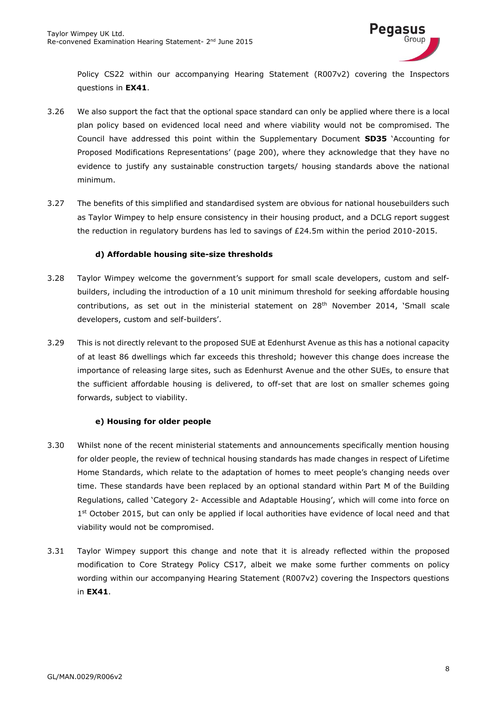

Policy CS22 within our accompanying Hearing Statement (R007v2) covering the Inspectors questions in **EX41**.

- 3.26 We also support the fact that the optional space standard can only be applied where there is a local plan policy based on evidenced local need and where viability would not be compromised. The Council have addressed this point within the Supplementary Document **SD35** 'Accounting for Proposed Modifications Representations' (page 200), where they acknowledge that they have no evidence to justify any sustainable construction targets/ housing standards above the national minimum.
- 3.27 The benefits of this simplified and standardised system are obvious for national housebuilders such as Taylor Wimpey to help ensure consistency in their housing product, and a DCLG report suggest the reduction in regulatory burdens has led to savings of £24.5m within the period 2010-2015.

## **d) Affordable housing site-size thresholds**

- 3.28 Taylor Wimpey welcome the government's support for small scale developers, custom and selfbuilders, including the introduction of a 10 unit minimum threshold for seeking affordable housing contributions, as set out in the ministerial statement on 28<sup>th</sup> November 2014, 'Small scale developers, custom and self-builders'.
- 3.29 This is not directly relevant to the proposed SUE at Edenhurst Avenue as this has a notional capacity of at least 86 dwellings which far exceeds this threshold; however this change does increase the importance of releasing large sites, such as Edenhurst Avenue and the other SUEs, to ensure that the sufficient affordable housing is delivered, to off-set that are lost on smaller schemes going forwards, subject to viability.

## **e) Housing for older people**

- 3.30 Whilst none of the recent ministerial statements and announcements specifically mention housing for older people, the review of technical housing standards has made changes in respect of Lifetime Home Standards, which relate to the adaptation of homes to meet people's changing needs over time. These standards have been replaced by an optional standard within Part M of the Building Regulations, called 'Category 2- Accessible and Adaptable Housing', which will come into force on 1<sup>st</sup> October 2015, but can only be applied if local authorities have evidence of local need and that viability would not be compromised.
- 3.31 Taylor Wimpey support this change and note that it is already reflected within the proposed modification to Core Strategy Policy CS17, albeit we make some further comments on policy wording within our accompanying Hearing Statement (R007v2) covering the Inspectors questions in **EX41**.